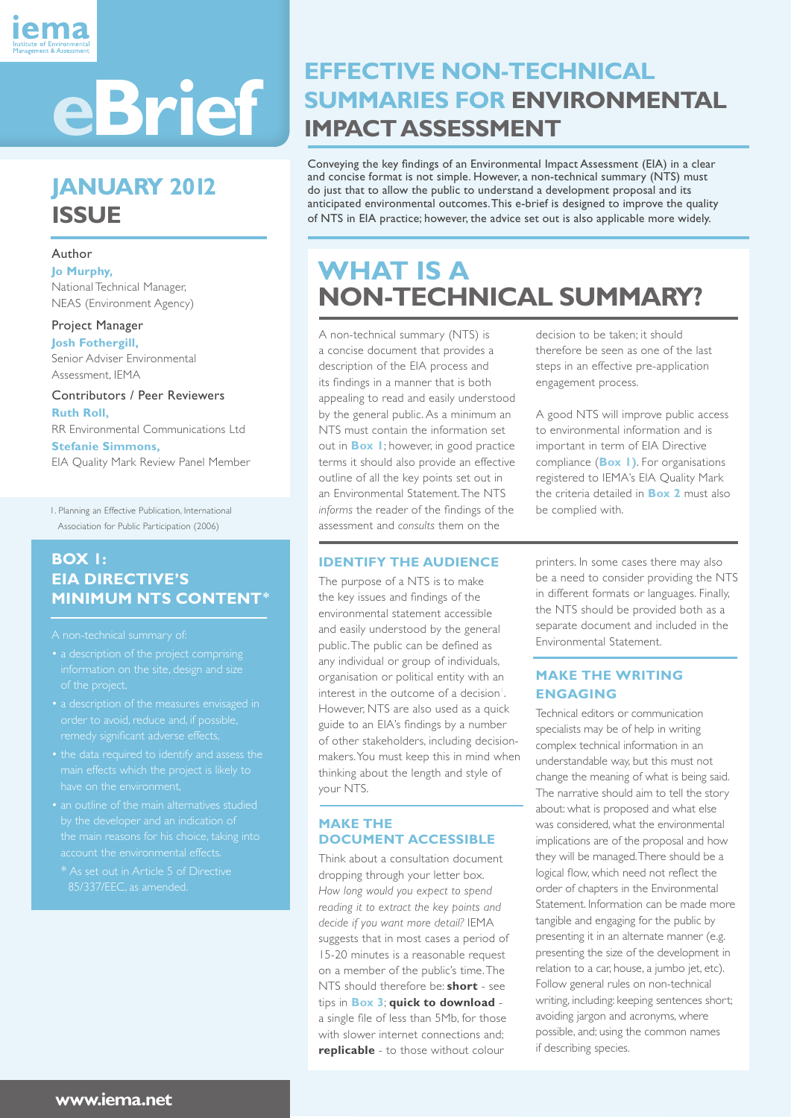

# **JANUARY 2012 ISSUE**

#### Author

**Jo Murphy,**  National Technical Manager, NEAS (Environment Agency)

### Project Manager

**Josh Fothergill,**  Senior Adviser Environmental Assessment, IEMA

#### Contributors / Peer Reviewers **Ruth Roll,** RR Environmental Communications Ltd

**Stefanie Simmons,**

EIA Quality Mark Review Panel Member

1. Planning an Effective Publication, International Association for Public Participation (2006)

#### **BOX 1: EIA DIRECTIVE'S MINIMUM NTS CONTENT\***

A non-technical summary of:

- a description of the project comprising of the project,
- order to avoid, reduce and, if possible, remedy significant adverse effects,
- main effects which the project is likely to
- account the environmental effects.
- \* As set out in Article 5 of Directive 85/337/EEC, as amended.

# **EFFECTIVE NON-TECHNICAL SUMMARIES FOR ENVIRONMENTAL**

Conveying the key findings of an Environmental Impact Assessment (EIA) in a clear and concise format is not simple. However, a non-technical summary (NTS) must do just that to allow the public to understand a development proposal and its anticipated environmental outcomes. This e-brief is designed to improve the quality of NTS in EIA practice; however, the advice set out is also applicable more widely.

# **WHAT IS A NON-TECHNICAL SUMMARY?**

A non-technical summary (NTS) is a concise document that provides a description of the EIA process and its findings in a manner that is both appealing to read and easily understood by the general public. As a minimum an NTS must contain the information set out in **Box 1**; however, in good practice terms it should also provide an effective outline of all the key points set out in an Environmental Statement. The NTS *informs* the reader of the findings of the assessment and *consults* them on the

#### **IDENTIFY THE AUDIENCE**

The purpose of a NTS is to make the key issues and findings of the environmental statement accessible and easily understood by the general public. The public can be defined as any individual or group of individuals, organisation or political entity with an interest in the outcome of a decision<sup>1</sup>. However, NTS are also used as a quick guide to an EIA's findings by a number of other stakeholders, including decisionmakers. You must keep this in mind when thinking about the length and style of your NTS.

#### **MAKE THE DOCUMENT ACCESSIBLE**

Think about a consultation document dropping through your letter box. *How long would you expect to spend reading it to extract the key points and decide if you want more detail?* IEMA suggests that in most cases a period of 15-20 minutes is a reasonable request on a member of the public's time. The NTS should therefore be: **short** - see tips in **Box 3**; **quick to download** a single file of less than 5Mb, for those with slower internet connections and; **replicable** - to those without colour

decision to be taken; it should therefore be seen as one of the last steps in an effective pre-application engagement process.

A good NTS will improve public access to environmental information and is important in term of EIA Directive compliance (**Box 1)**. For organisations registered to IEMA's EIA Quality Mark the criteria detailed in **Box 2** must also be complied with.

printers. In some cases there may also be a need to consider providing the NTS in different formats or languages. Finally, the NTS should be provided both as a separate document and included in the Environmental Statement.

#### **MAKE THE WRITING ENGAGING**

Technical editors or communication specialists may be of help in writing complex technical information in an understandable way, but this must not change the meaning of what is being said. The narrative should aim to tell the story about: what is proposed and what else was considered, what the environmental implications are of the proposal and how they will be managed. There should be a logical flow, which need not reflect the order of chapters in the Environmental Statement. Information can be made more tangible and engaging for the public by presenting it in an alternate manner (e.g. presenting the size of the development in relation to a car, house, a jumbo jet, etc). Follow general rules on non-technical writing, including: keeping sentences short; avoiding jargon and acronyms, where possible, and; using the common names if describing species.